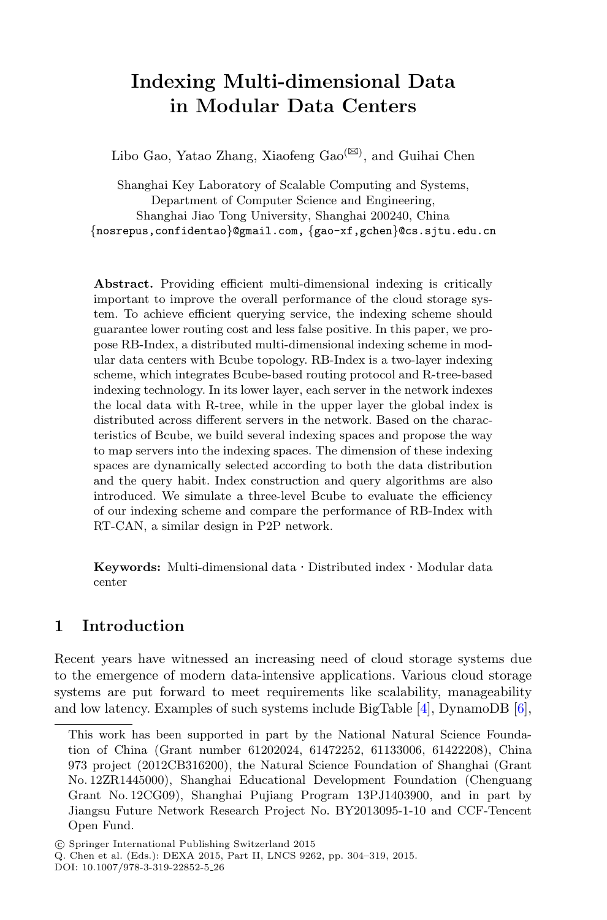# **Indexing Multi-dimensional Data in Modular Data Centers**

Libo Gao, Yatao Zhang, Xiaofeng Gao $^{(\boxtimes)}$ , and Guihai Chen

Shanghai Key Laboratory of Scalable Computing and Systems, Department of Computer Science and Engineering, Shanghai Jiao Tong University, Shanghai 200240, China *{*nosrepus,confidentao*}*@gmail.com, *{*gao-xf,gchen*}*@cs.sjtu.edu.cn

**Abstract.** Providing efficient multi-dimensional indexing is critically important to improve the overall performance of the cloud storage system. To achieve efficient querying service, the indexing scheme should guarantee lower routing cost and less false positive. In this paper, we propose RB-Index, a distributed multi-dimensional indexing scheme in modular data centers with Bcube topology. RB-Index is a two-layer indexing scheme, which integrates Bcube-based routing protocol and R-tree-based indexing technology. In its lower layer, each server in the network indexes the local data with R-tree, while in the upper layer the global index is distributed across different servers in the network. Based on the characteristics of Bcube, we build several indexing spaces and propose the way to map servers into the indexing spaces. The dimension of these indexing spaces are dynamically selected according to both the data distribution and the query habit. Index construction and query algorithms are also introduced. We simulate a three-level Bcube to evaluate the efficiency of our indexing scheme and compare the performance of RB-Index with RT-CAN, a similar design in P2P network.

**Keywords:** Multi-dimensional data · Distributed index · Modular data center

## **1 Introduction**

Recent years have witnessed an increasing need of cloud storage systems due to the emergence of modern data-intensive applications. Various cloud storage systems are put forward to meet requirements like scalability, manageability and low latency. Examples of such systems include BigTable  $[4]$  $[4]$ , DynamoDB  $[6]$ ,

This work has been supported in part by the National Natural Science Foundation of China (Grant number 61202024, 61472252, 61133006, 61422208), China 973 project (2012CB316200), the Natural Science Foundation of Shanghai (Grant No. 12ZR1445000), Shanghai Educational Development Foundation (Chenguang Grant No. 12CG09), Shanghai Pujiang Program 13PJ1403900, and in part by Jiangsu Future Network Research Project No. BY2013095-1-10 and CCF-Tencent Open Fund.

<sup>-</sup>c Springer International Publishing Switzerland 2015

Q. Chen et al. (Eds.): DEXA 2015, Part II, LNCS 9262, pp. 304–319, 2015.

DOI: 10.1007/978-3-319-22852-5 26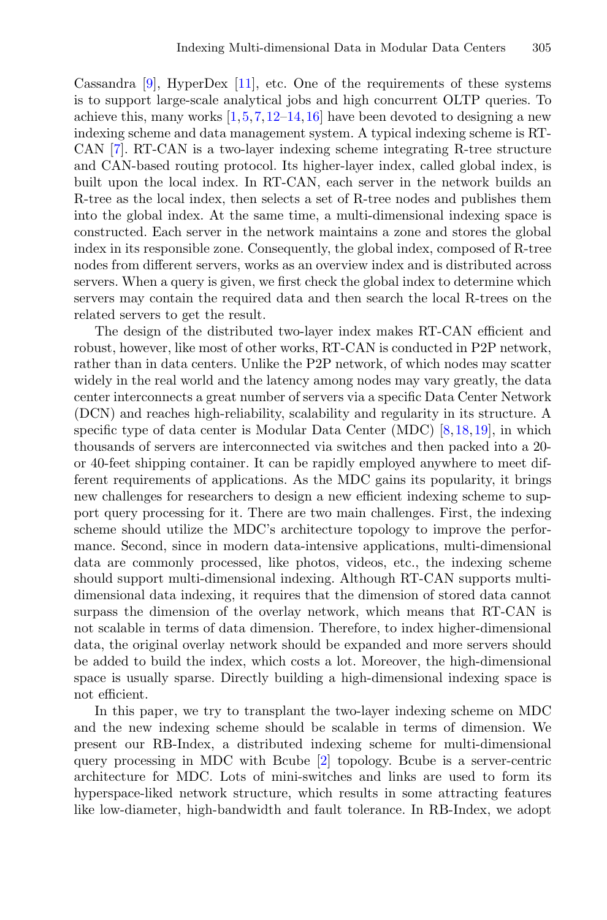Cassandra [\[9\]](#page-14-2), HyperDex [\[11](#page-14-3)], etc. One of the requirements of these systems is to support large-scale analytical jobs and high concurrent OLTP queries. To achieve this, many works  $[1,5,7,12-14,16]$  $[1,5,7,12-14,16]$  $[1,5,7,12-14,16]$  $[1,5,7,12-14,16]$  $[1,5,7,12-14,16]$  $[1,5,7,12-14,16]$  $[1,5,7,12-14,16]$  have been devoted to designing a new indexing scheme and data management system. A typical indexing scheme is RT-CAN [\[7](#page-14-6)]. RT-CAN is a two-layer indexing scheme integrating R-tree structure and CAN-based routing protocol. Its higher-layer index, called global index, is built upon the local index. In RT-CAN, each server in the network builds an R-tree as the local index, then selects a set of R-tree nodes and publishes them into the global index. At the same time, a multi-dimensional indexing space is constructed. Each server in the network maintains a zone and stores the global index in its responsible zone. Consequently, the global index, composed of R-tree nodes from different servers, works as an overview index and is distributed across servers. When a query is given, we first check the global index to determine which servers may contain the required data and then search the local R-trees on the related servers to get the result.

The design of the distributed two-layer index makes RT-CAN efficient and robust, however, like most of other works, RT-CAN is conducted in P2P network, rather than in data centers. Unlike the P2P network, of which nodes may scatter widely in the real world and the latency among nodes may vary greatly, the data center interconnects a great number of servers via a specific Data Center Network (DCN) and reaches high-reliability, scalability and regularity in its structure. A specific type of data center is Modular Data Center (MDC) [\[8](#page-14-8),[18,](#page-15-2)[19](#page-15-3)], in which thousands of servers are interconnected via switches and then packed into a 20 or 40-feet shipping container. It can be rapidly employed anywhere to meet different requirements of applications. As the MDC gains its popularity, it brings new challenges for researchers to design a new efficient indexing scheme to support query processing for it. There are two main challenges. First, the indexing scheme should utilize the MDC's architecture topology to improve the performance. Second, since in modern data-intensive applications, multi-dimensional data are commonly processed, like photos, videos, etc., the indexing scheme should support multi-dimensional indexing. Although RT-CAN supports multidimensional data indexing, it requires that the dimension of stored data cannot surpass the dimension of the overlay network, which means that RT-CAN is not scalable in terms of data dimension. Therefore, to index higher-dimensional data, the original overlay network should be expanded and more servers should be added to build the index, which costs a lot. Moreover, the high-dimensional space is usually sparse. Directly building a high-dimensional indexing space is not efficient.

In this paper, we try to transplant the two-layer indexing scheme on MDC and the new indexing scheme should be scalable in terms of dimension. We present our RB-Index, a distributed indexing scheme for multi-dimensional query processing in MDC with Bcube [\[2](#page-14-9)] topology. Bcube is a server-centric architecture for MDC. Lots of mini-switches and links are used to form its hyperspace-liked network structure, which results in some attracting features like low-diameter, high-bandwidth and fault tolerance. In RB-Index, we adopt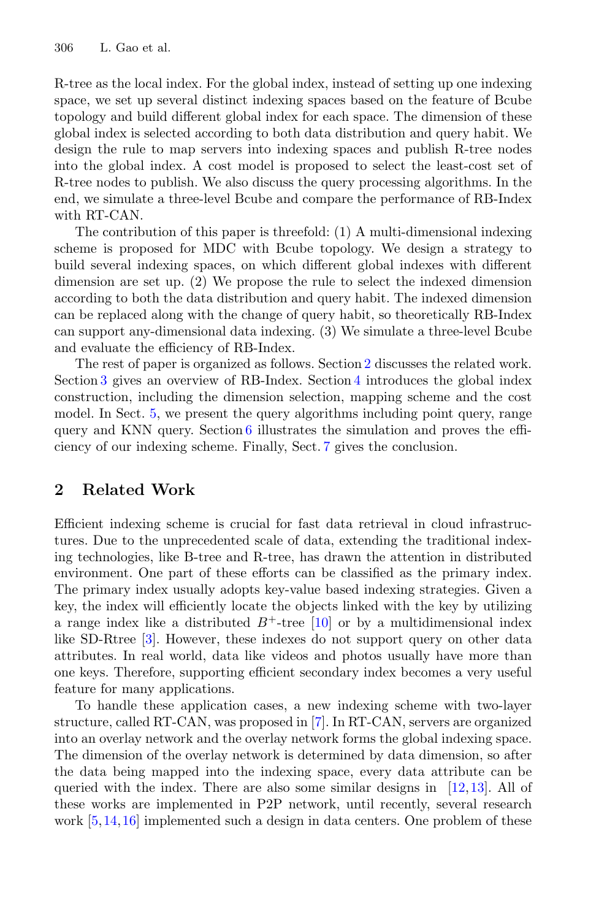R-tree as the local index. For the global index, instead of setting up one indexing space, we set up several distinct indexing spaces based on the feature of Bcube topology and build different global index for each space. The dimension of these global index is selected according to both data distribution and query habit. We design the rule to map servers into indexing spaces and publish R-tree nodes into the global index. A cost model is proposed to select the least-cost set of R-tree nodes to publish. We also discuss the query processing algorithms. In the end, we simulate a three-level Bcube and compare the performance of RB-Index with RT-CAN.

The contribution of this paper is threefold: (1) A multi-dimensional indexing scheme is proposed for MDC with Bcube topology. We design a strategy to build several indexing spaces, on which different global indexes with different dimension are set up. (2) We propose the rule to select the indexed dimension according to both the data distribution and query habit. The indexed dimension can be replaced along with the change of query habit, so theoretically RB-Index can support any-dimensional data indexing. (3) We simulate a three-level Bcube and evaluate the efficiency of RB-Index.

The rest of paper is organized as follows. Section [2](#page-2-0) discusses the related work. Section [3](#page-3-0) gives an overview of RB-Index. Section [4](#page-6-0) introduces the global index construction, including the dimension selection, mapping scheme and the cost model. In Sect. [5,](#page-10-0) we present the query algorithms including point query, range query and KNN query. Section [6](#page-11-0) illustrates the simulation and proves the efficiency of our indexing scheme. Finally, Sect. [7](#page-14-10) gives the conclusion.

## <span id="page-2-0"></span>**2 Related Work**

Efficient indexing scheme is crucial for fast data retrieval in cloud infrastructures. Due to the unprecedented scale of data, extending the traditional indexing technologies, like B-tree and R-tree, has drawn the attention in distributed environment. One part of these efforts can be classified as the primary index. The primary index usually adopts key-value based indexing strategies. Given a key, the index will efficiently locate the objects linked with the key by utilizing a range index like a distributed  $B^+$ -tree [\[10\]](#page-14-11) or by a multidimensional index like SD-Rtree [\[3](#page-14-12)]. However, these indexes do not support query on other data attributes. In real world, data like videos and photos usually have more than one keys. Therefore, supporting efficient secondary index becomes a very useful feature for many applications.

To handle these application cases, a new indexing scheme with two-layer structure, called RT-CAN, was proposed in [\[7\]](#page-14-6). In RT-CAN, servers are organized into an overlay network and the overlay network forms the global indexing space. The dimension of the overlay network is determined by data dimension, so after the data being mapped into the indexing space, every data attribute can be queried with the index. There are also some similar designs in [\[12](#page-14-7),[13\]](#page-14-13). All of these works are implemented in P2P network, until recently, several research work  $[5,14,16]$  $[5,14,16]$  $[5,14,16]$  $[5,14,16]$  implemented such a design in data centers. One problem of these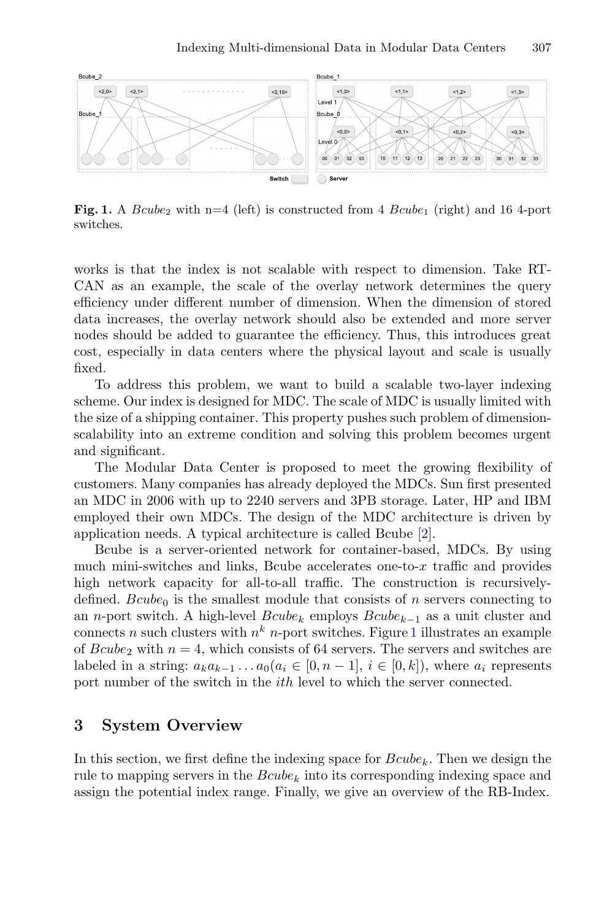

<span id="page-3-1"></span>**Fig. 1.** A  $Bcube_2$  with n=4 (left) is constructed from 4  $Bcube_1$  (right) and 16 4-port switches.

works is that the index is not scalable with respect to dimension. Take RT-CAN as an example, the scale of the overlay network determines the query efficiency under different number of dimension. When the dimension of stored data increases, the overlay network should also be extended and more server nodes should be added to guarantee the efficiency. Thus, this introduces great cost, especially in data centers where the physical layout and scale is usually fixed.

To address this problem, we want to build a scalable two-layer indexing scheme. Our index is designed for MDC. The scale of MDC is usually limited with the size of a shipping container. This property pushes such problem of dimensionscalability into an extreme condition and solving this problem becomes urgent and significant.

The Modular Data Center is proposed to meet the growing flexibility of customers. Many companies has already deployed the MDCs. Sun first presented an MDC in 2006 with up to 2240 servers and 3PB storage. Later, HP and IBM employed their own MDCs. The design of the MDC architecture is driven by application needs. A typical architecture is called Bcube [\[2](#page-14-9)].

Bcube is a server-oriented network for container-based, MDCs. By using much mini-switches and links, Bcube accelerates one-to-x traffic and provides high network capacity for all-to-all traffic. The construction is recursivelydefined. Bcube<sub>0</sub> is the smallest module that consists of n servers connecting to an n-port switch. A high-level Bcube*<sup>k</sup>* employs Bcube*<sup>k</sup>*−<sup>1</sup> as a unit cluster and connects n such clusters with  $n^k$  n-port switches. Figure [1](#page-3-1) illustrates an example of  $Bcube_2$  with  $n = 4$ , which consists of 64 servers. The servers and switches are labeled in a string:  $a_k a_{k-1} \ldots a_0 (a_i \in [0, n-1], i \in [0, k])$ , where  $a_i$  represents port number of the switch in the ith level to which the server connected.

### <span id="page-3-0"></span>**3 System Overview**

In this section, we first define the indexing space for Bcube*k*. Then we design the rule to mapping servers in the Bcube*<sup>k</sup>* into its corresponding indexing space and assign the potential index range. Finally, we give an overview of the RB-Index.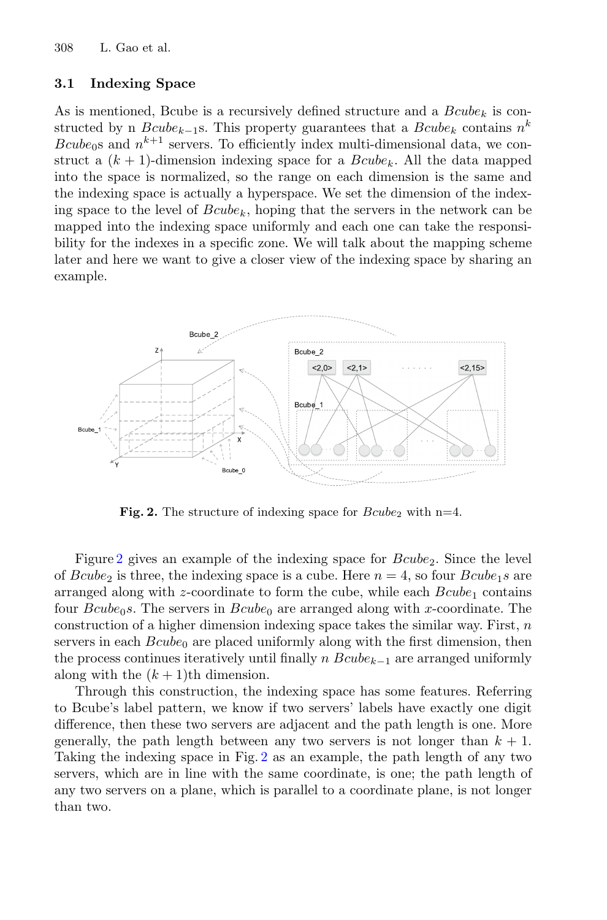#### **3.1 Indexing Space**

As is mentioned, Bcube is a recursively defined structure and a Bcube*<sup>k</sup>* is constructed by n  $Bcube_{k-1}$ s. This property guarantees that a  $Bcube_k$  contains  $n^k$  $Bcube_0$ s and  $n^{k+1}$  servers. To efficiently index multi-dimensional data, we construct a  $(k + 1)$ -dimension indexing space for a  $Bcube_k$ . All the data mapped into the space is normalized, so the range on each dimension is the same and the indexing space is actually a hyperspace. We set the dimension of the indexing space to the level of Bcube*k*, hoping that the servers in the network can be mapped into the indexing space uniformly and each one can take the responsibility for the indexes in a specific zone. We will talk about the mapping scheme later and here we want to give a closer view of the indexing space by sharing an example.



**Fig. 2.** The structure of indexing space for *Bcube*<sub>2</sub> with n=4.

<span id="page-4-0"></span>Figure [2](#page-4-0) gives an example of the indexing space for  $Bcube_2$ . Since the level of  $Bcube_2$  is three, the indexing space is a cube. Here  $n = 4$ , so four  $Bcube_1s$  are arranged along with  $z$ -coordinate to form the cube, while each  $Bcube_1$  contains four  $Bcube_0s$ . The servers in  $Bcube_0$  are arranged along with x-coordinate. The construction of a higher dimension indexing space takes the similar way. First,  $n$ servers in each  $Bcube_0$  are placed uniformly along with the first dimension, then the process continues iteratively until finally n Bcube*<sup>k</sup>*−<sup>1</sup> are arranged uniformly along with the  $(k + 1)$ th dimension.

Through this construction, the indexing space has some features. Referring to Bcube's label pattern, we know if two servers' labels have exactly one digit difference, then these two servers are adjacent and the path length is one. More generally, the path length between any two servers is not longer than  $k + 1$ . Taking the indexing space in Fig. [2](#page-4-0) as an example, the path length of any two servers, which are in line with the same coordinate, is one; the path length of any two servers on a plane, which is parallel to a coordinate plane, is not longer than two.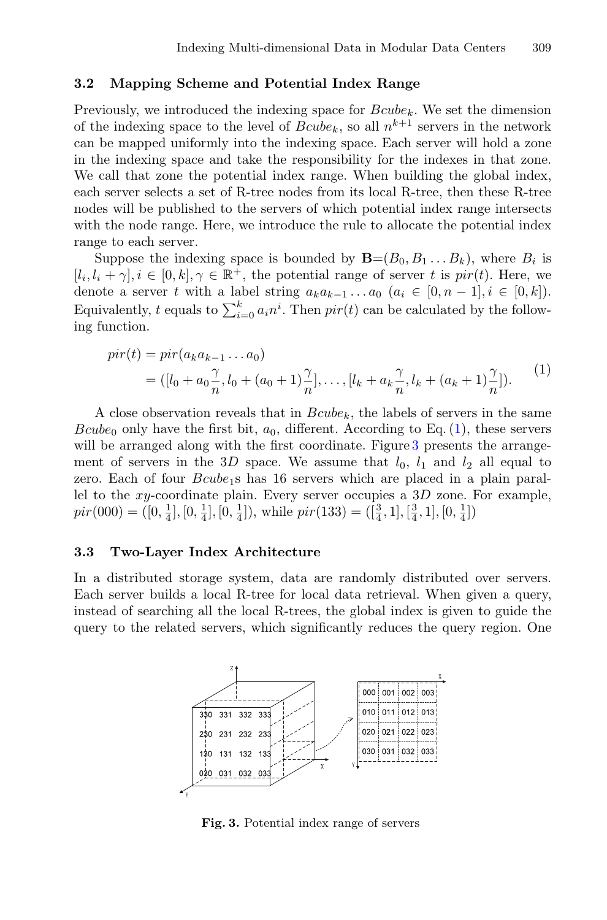#### **3.2 Mapping Scheme and Potential Index Range**

Previously, we introduced the indexing space for Bcube*k*. We set the dimension of the indexing space to the level of  $Bcube_k$ , so all  $n^{k+1}$  servers in the network can be mapped uniformly into the indexing space. Each server will hold a zone in the indexing space and take the responsibility for the indexes in that zone. We call that zone the potential index range. When building the global index, each server selects a set of R-tree nodes from its local R-tree, then these R-tree nodes will be published to the servers of which potential index range intersects with the node range. Here, we introduce the rule to allocate the potential index range to each server.

Suppose the indexing space is bounded by  $\mathbf{B}=(B_0, B_1 \dots B_k)$ , where  $B_i$  is  $[l_i, l_i + \gamma], i \in [0, k], \gamma \in \mathbb{R}^+$ , the potential range of server t is  $pir(t)$ . Here, we denote a server t with a label string  $a_ka_{k-1} \ldots a_0$   $(a_i \in [0, n-1], i \in [0, k])$ . Equivalently, t equals to  $\sum_{i=0}^{k} a_i n^i$ . Then  $pir(t)$  can be calculated by the following function.

$$
pir(t) = pir(akak-1...a0)
$$
  
= ([l<sub>0</sub> + a<sub>0</sub> $\frac{\gamma}{n}$ , l<sub>0</sub> + (a<sub>0</sub> + 1) $\frac{\gamma}{n}$ ],..., [l<sub>k</sub> + a<sub>k</sub> $\frac{\gamma}{n}$ , l<sub>k</sub> + (a<sub>k</sub> + 1) $\frac{\gamma}{n}$ ]). (1)

<span id="page-5-0"></span>A close observation reveals that in  $Bcube_k$ , the labels of servers in the same Bcube<sub>0</sub> only have the first bit,  $a_0$ , different. According to Eq. [\(1\)](#page-5-0), these servers will be arranged along with the first coordinate. Figure [3](#page-5-1) presents the arrangement of servers in the 3D space. We assume that  $l_0$ ,  $l_1$  and  $l_2$  all equal to zero. Each of four  $Bcube_1s$  has 16 servers which are placed in a plain parallel to the xy-coordinate plain. Every server occupies a 3D zone. For example,  $pir(000) = ([0, \frac{1}{4}], [0, \frac{1}{4}], [0, \frac{1}{4}]),$  while  $pir(133) = ([\frac{3}{4}, 1], [\frac{3}{4}, 1], [0, \frac{1}{4}])$ 

#### **3.3 Two-Layer Index Architecture**

In a distributed storage system, data are randomly distributed over servers. Each server builds a local R-tree for local data retrieval. When given a query, instead of searching all the local R-trees, the global index is given to guide the query to the related servers, which significantly reduces the query region. One



<span id="page-5-1"></span>**Fig. 3.** Potential index range of servers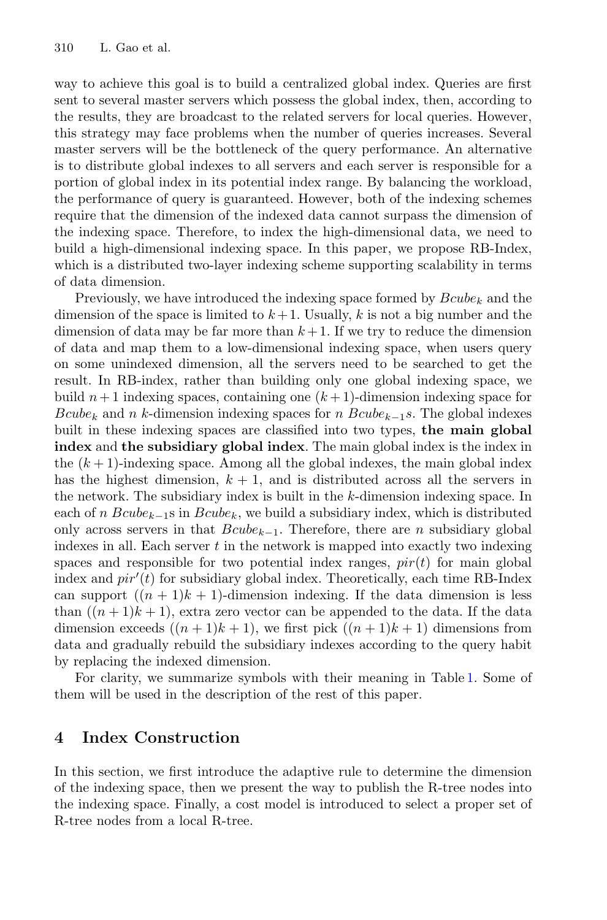way to achieve this goal is to build a centralized global index. Queries are first sent to several master servers which possess the global index, then, according to the results, they are broadcast to the related servers for local queries. However, this strategy may face problems when the number of queries increases. Several master servers will be the bottleneck of the query performance. An alternative is to distribute global indexes to all servers and each server is responsible for a portion of global index in its potential index range. By balancing the workload, the performance of query is guaranteed. However, both of the indexing schemes require that the dimension of the indexed data cannot surpass the dimension of the indexing space. Therefore, to index the high-dimensional data, we need to build a high-dimensional indexing space. In this paper, we propose RB-Index, which is a distributed two-layer indexing scheme supporting scalability in terms of data dimension.

Previously, we have introduced the indexing space formed by Bcube*<sup>k</sup>* and the dimension of the space is limited to  $k+1$ . Usually, k is not a big number and the dimension of data may be far more than  $k+1$ . If we try to reduce the dimension of data and map them to a low-dimensional indexing space, when users query on some unindexed dimension, all the servers need to be searched to get the result. In RB-index, rather than building only one global indexing space, we build  $n+1$  indexing spaces, containing one  $(k+1)$ -dimension indexing space for Bcube*<sup>k</sup>* and n k-dimension indexing spaces for n Bcube*<sup>k</sup>*−1s. The global indexes built in these indexing spaces are classified into two types, **the main global index** and **the subsidiary global index**. The main global index is the index in the  $(k+1)$ -indexing space. Among all the global indexes, the main global index has the highest dimension,  $k + 1$ , and is distributed across all the servers in the network. The subsidiary index is built in the k-dimension indexing space. In each of n Bcube*<sup>k</sup>*−<sup>1</sup>s in Bcube*k*, we build a subsidiary index, which is distributed only across servers in that Bcube*<sup>k</sup>*−<sup>1</sup>. Therefore, there are n subsidiary global indexes in all. Each server  $t$  in the network is mapped into exactly two indexing spaces and responsible for two potential index ranges,  $pir(t)$  for main global index and  $\text{pir}'(t)$  for subsidiary global index. Theoretically, each time RB-Index can support  $((n + 1)k + 1)$ -dimension indexing. If the data dimension is less than  $((n+1)k+1)$ , extra zero vector can be appended to the data. If the data dimension exceeds  $((n + 1)k + 1)$ , we first pick  $((n + 1)k + 1)$  dimensions from data and gradually rebuild the subsidiary indexes according to the query habit by replacing the indexed dimension.

For clarity, we summarize symbols with their meaning in Table [1.](#page-7-0) Some of them will be used in the description of the rest of this paper.

## <span id="page-6-0"></span>**4 Index Construction**

In this section, we first introduce the adaptive rule to determine the dimension of the indexing space, then we present the way to publish the R-tree nodes into the indexing space. Finally, a cost model is introduced to select a proper set of R-tree nodes from a local R-tree.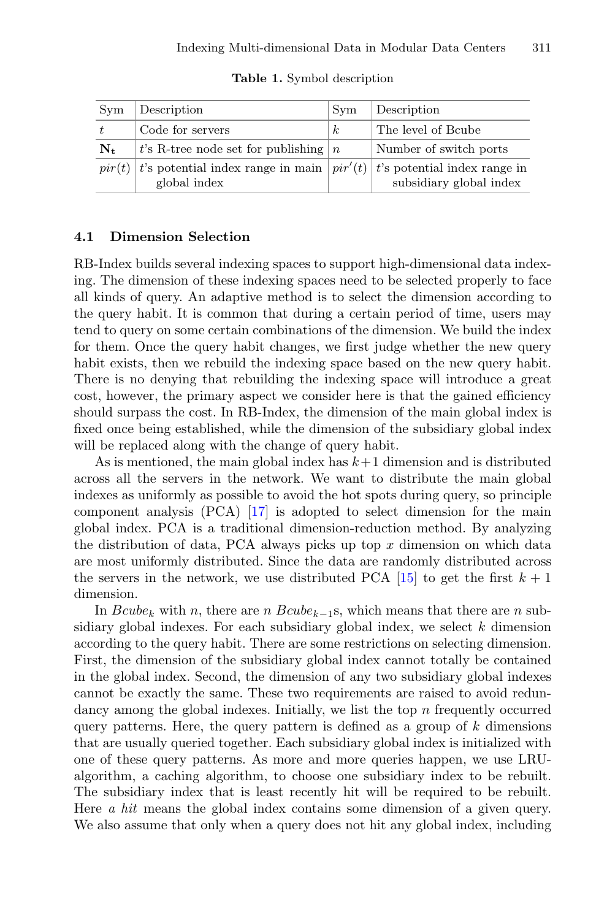| Sym         | Description                                                                                             | Svm | Description             |
|-------------|---------------------------------------------------------------------------------------------------------|-----|-------------------------|
|             | Code for servers                                                                                        | k.  | The level of Bcube      |
| $\rm N_{t}$ | t's R-tree node set for publishing $\lfloor n \rfloor$                                                  |     | Number of switch ports  |
|             | $pir(t)$   t's potential index range in main   $pir'(t)$   t's potential index range in<br>global index |     | subsidiary global index |

<span id="page-7-0"></span>**Table 1.** Symbol description

#### **4.1 Dimension Selection**

RB-Index builds several indexing spaces to support high-dimensional data indexing. The dimension of these indexing spaces need to be selected properly to face all kinds of query. An adaptive method is to select the dimension according to the query habit. It is common that during a certain period of time, users may tend to query on some certain combinations of the dimension. We build the index for them. Once the query habit changes, we first judge whether the new query habit exists, then we rebuild the indexing space based on the new query habit. There is no denying that rebuilding the indexing space will introduce a great cost, however, the primary aspect we consider here is that the gained efficiency should surpass the cost. In RB-Index, the dimension of the main global index is fixed once being established, while the dimension of the subsidiary global index will be replaced along with the change of query habit.

As is mentioned, the main global index has  $k+1$  dimension and is distributed across all the servers in the network. We want to distribute the main global indexes as uniformly as possible to avoid the hot spots during query, so principle component analysis (PCA) [\[17\]](#page-15-4) is adopted to select dimension for the main global index. PCA is a traditional dimension-reduction method. By analyzing the distribution of data, PCA always picks up top  $x$  dimension on which data are most uniformly distributed. Since the data are randomly distributed across the servers in the network, we use distributed PCA [\[15\]](#page-15-5) to get the first  $k + 1$ dimension.

In Bcube*<sup>k</sup>* with n, there are n Bcube*<sup>k</sup>*−<sup>1</sup>s, which means that there are n subsidiary global indexes. For each subsidiary global index, we select  $k$  dimension according to the query habit. There are some restrictions on selecting dimension. First, the dimension of the subsidiary global index cannot totally be contained in the global index. Second, the dimension of any two subsidiary global indexes cannot be exactly the same. These two requirements are raised to avoid redundancy among the global indexes. Initially, we list the top n frequently occurred query patterns. Here, the query pattern is defined as a group of  $k$  dimensions that are usually queried together. Each subsidiary global index is initialized with one of these query patterns. As more and more queries happen, we use LRUalgorithm, a caching algorithm, to choose one subsidiary index to be rebuilt. The subsidiary index that is least recently hit will be required to be rebuilt. Here *a hit* means the global index contains some dimension of a given query. We also assume that only when a query does not hit any global index, including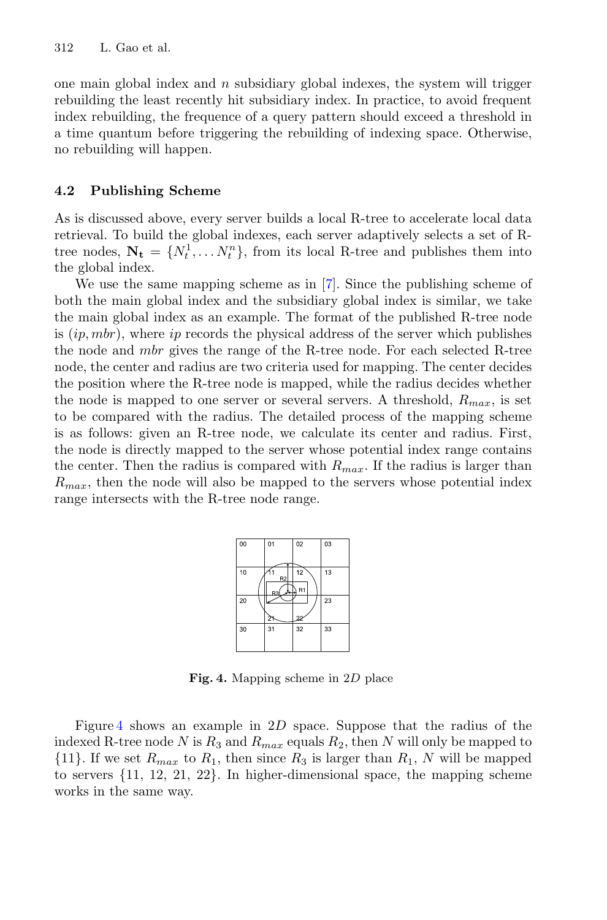one main global index and  $n$  subsidiary global indexes, the system will trigger rebuilding the least recently hit subsidiary index. In practice, to avoid frequent index rebuilding, the frequence of a query pattern should exceed a threshold in a time quantum before triggering the rebuilding of indexing space. Otherwise, no rebuilding will happen.

#### **4.2 Publishing Scheme**

As is discussed above, every server builds a local R-tree to accelerate local data retrieval. To build the global indexes, each server adaptively selects a set of Rtree nodes,  $N_t = \{N_t^1, \ldots N_t^n\}$ , from its local R-tree and publishes them into the global index.

We use the same mapping scheme as in [\[7\]](#page-14-6). Since the publishing scheme of both the main global index and the subsidiary global index is similar, we take the main global index as an example. The format of the published R-tree node is  $(ip, mbr)$ , where  $ip$  records the physical address of the server which publishes the node and *mbr* gives the range of the R-tree node. For each selected R-tree node, the center and radius are two criteria used for mapping. The center decides the position where the R-tree node is mapped, while the radius decides whether the node is mapped to one server or several servers. A threshold, R*max*, is set to be compared with the radius. The detailed process of the mapping scheme is as follows: given an R-tree node, we calculate its center and radius. First, the node is directly mapped to the server whose potential index range contains the center. Then the radius is compared with  $R_{max}$ . If the radius is larger than  $R_{max}$ , then the node will also be mapped to the servers whose potential index range intersects with the R-tree node range.



<span id="page-8-0"></span>**Fig. 4.** Mapping scheme in 2*D* place

Figure [4](#page-8-0) shows an example in 2D space. Suppose that the radius of the indexed R-tree node N is  $R_3$  and  $R_{max}$  equals  $R_2$ , then N will only be mapped to  $\{11\}$ . If we set  $R_{max}$  to  $R_1$ , then since  $R_3$  is larger than  $R_1$ , N will be mapped to servers {11, 12, 21, 22}. In higher-dimensional space, the mapping scheme works in the same way.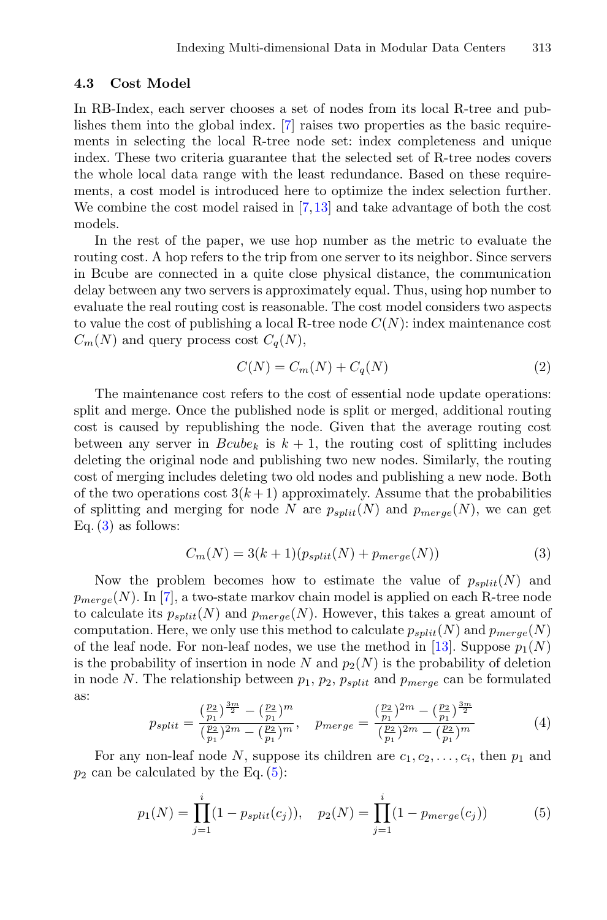#### **4.3 Cost Model**

In RB-Index, each server chooses a set of nodes from its local R-tree and publishes them into the global index. [\[7](#page-14-6)] raises two properties as the basic requirements in selecting the local R-tree node set: index completeness and unique index. These two criteria guarantee that the selected set of R-tree nodes covers the whole local data range with the least redundance. Based on these requirements, a cost model is introduced here to optimize the index selection further. We combine the cost model raised in [\[7,](#page-14-6)[13\]](#page-14-13) and take advantage of both the cost models.

In the rest of the paper, we use hop number as the metric to evaluate the routing cost. A hop refers to the trip from one server to its neighbor. Since servers in Bcube are connected in a quite close physical distance, the communication delay between any two servers is approximately equal. Thus, using hop number to evaluate the real routing cost is reasonable. The cost model considers two aspects to value the cost of publishing a local R-tree node  $C(N)$ : index maintenance cost  $C_m(N)$  and query process cost  $C_q(N)$ ,

$$
C(N) = C_m(N) + C_q(N)
$$
\n<sup>(2)</sup>

The maintenance cost refers to the cost of essential node update operations: split and merge. Once the published node is split or merged, additional routing cost is caused by republishing the node. Given that the average routing cost between any server in  $Bcube_k$  is  $k+1$ , the routing cost of splitting includes deleting the original node and publishing two new nodes. Similarly, the routing cost of merging includes deleting two old nodes and publishing a new node. Both of the two operations cost  $3(k+1)$  approximately. Assume that the probabilities of splitting and merging for node N are  $p_{split}(N)$  and  $p_{merge}(N)$ , we can get Eq.  $(3)$  as follows:

$$
C_m(N) = 3(k+1)(p_{split}(N) + p_{merge}(N))
$$
\n
$$
(3)
$$

<span id="page-9-0"></span>Now the problem becomes how to estimate the value of  $p_{split}(N)$  and  $p_{merge}(N)$ . In [\[7](#page-14-6)], a two-state markov chain model is applied on each R-tree node to calculate its  $p_{split}(N)$  and  $p_{merge}(N)$ . However, this takes a great amount of computation. Here, we only use this method to calculate  $p_{split}(N)$  and  $p_{merge}(N)$ of the leaf node. For non-leaf nodes, we use the method in [\[13\]](#page-14-13). Suppose  $p_1(N)$ is the probability of insertion in node N and  $p_2(N)$  is the probability of deletion in node N. The relationship between  $p_1$ ,  $p_2$ ,  $p_{split}$  and  $p_{merge}$  can be formulated as:

$$
p_{split} = \frac{\left(\frac{p_2}{p_1}\right)^{\frac{3m}{2}} - \left(\frac{p_2}{p_1}\right)^m}{\left(\frac{p_2}{p_1}\right)^{2m} - \left(\frac{p_2}{p_1}\right)^m}, \quad p_{merge} = \frac{\left(\frac{p_2}{p_1}\right)^{2m} - \left(\frac{p_2}{p_1}\right)^{\frac{3m}{2}}}{\left(\frac{p_2}{p_1}\right)^{2m} - \left(\frac{p_2}{p_1}\right)^m}
$$
(4)

<span id="page-9-1"></span>For any non-leaf node N, suppose its children are  $c_1, c_2, \ldots, c_i$ , then  $p_1$  and  $p_2$  can be calculated by the Eq. [\(5\)](#page-9-1):

$$
p_1(N) = \prod_{j=1}^{i} (1 - p_{split}(c_j)), \quad p_2(N) = \prod_{j=1}^{i} (1 - p_{merge}(c_j))
$$
 (5)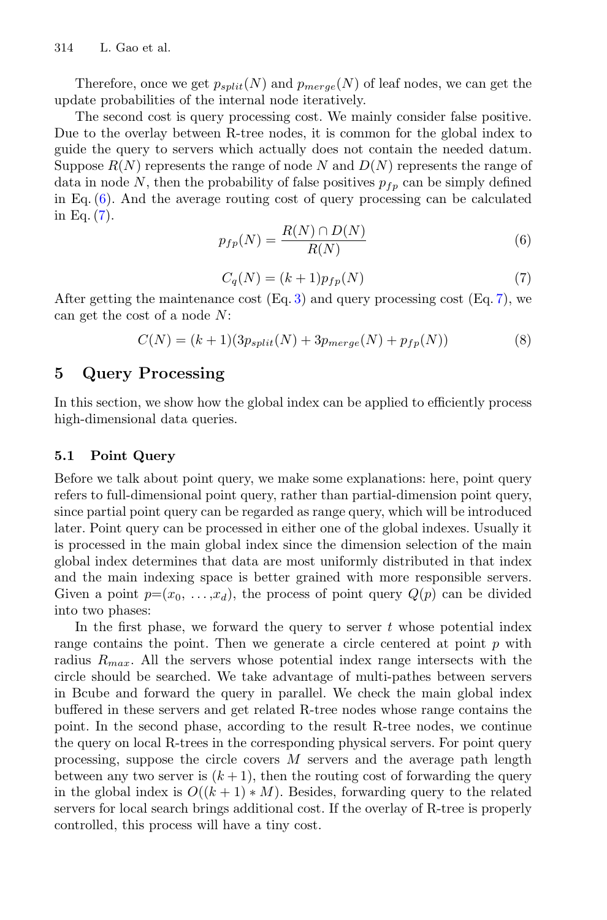314 L. Gao et al.

Therefore, once we get  $p_{split}(N)$  and  $p_{merge}(N)$  of leaf nodes, we can get the update probabilities of the internal node iteratively.

The second cost is query processing cost. We mainly consider false positive. Due to the overlay between R-tree nodes, it is common for the global index to guide the query to servers which actually does not contain the needed datum. Suppose  $R(N)$  represents the range of node N and  $D(N)$  represents the range of data in node N, then the probability of false positives  $p_{fp}$  can be simply defined in Eq.  $(6)$ . And the average routing cost of query processing can be calculated in Eq. [\(7\)](#page-10-2).

$$
p_{fp}(N) = \frac{R(N) \cap D(N)}{R(N)}\tag{6}
$$

$$
C_q(N) = (k+1)p_{fp}(N)
$$
\n<sup>(7)</sup>

<span id="page-10-2"></span><span id="page-10-1"></span>After getting the maintenance cost  $(Eq. 3)$  $(Eq. 3)$  and query processing cost  $(Eq. 7)$  $(Eq. 7)$ , we can get the cost of a node N:

$$
C(N) = (k+1)(3p_{split}(N) + 3p_{merge}(N) + p_{fp}(N))
$$
\n(8)

## <span id="page-10-0"></span>**5 Query Processing**

In this section, we show how the global index can be applied to efficiently process high-dimensional data queries.

#### **5.1 Point Query**

Before we talk about point query, we make some explanations: here, point query refers to full-dimensional point query, rather than partial-dimension point query, since partial point query can be regarded as range query, which will be introduced later. Point query can be processed in either one of the global indexes. Usually it is processed in the main global index since the dimension selection of the main global index determines that data are most uniformly distributed in that index and the main indexing space is better grained with more responsible servers. Given a point  $p=(x_0, \ldots, x_d)$ , the process of point query  $Q(p)$  can be divided into two phases:

In the first phase, we forward the query to server  $t$  whose potential index range contains the point. Then we generate a circle centered at point  $p$  with radius R*max*. All the servers whose potential index range intersects with the circle should be searched. We take advantage of multi-pathes between servers in Bcube and forward the query in parallel. We check the main global index buffered in these servers and get related R-tree nodes whose range contains the point. In the second phase, according to the result R-tree nodes, we continue the query on local R-trees in the corresponding physical servers. For point query processing, suppose the circle covers M servers and the average path length between any two server is  $(k+1)$ , then the routing cost of forwarding the query in the global index is  $O((k+1) * M)$ . Besides, forwarding query to the related servers for local search brings additional cost. If the overlay of R-tree is properly controlled, this process will have a tiny cost.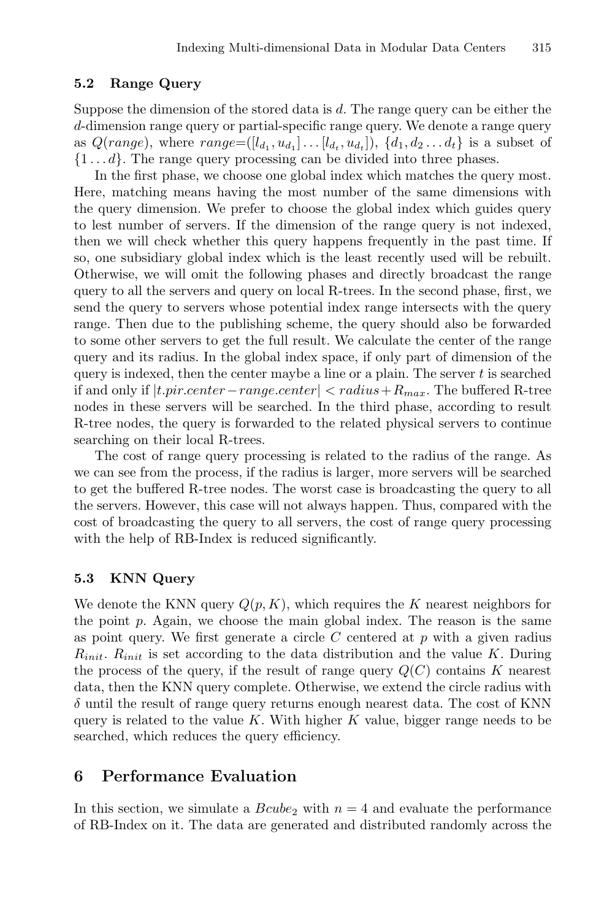#### **5.2 Range Query**

Suppose the dimension of the stored data is  $d$ . The range query can be either the d-dimension range query or partial-specific range query. We denote a range query as  $Q(range)$ , where  $range=[l_{d_1}, u_{d_1}]\dots [l_{d_t}, u_{d_t}])$ ,  $\{d_1, d_2 \dots d_t\}$  is a subset of  $\{1 \dots d\}$ . The range query processing can be divided into three phases.

In the first phase, we choose one global index which matches the query most. Here, matching means having the most number of the same dimensions with the query dimension. We prefer to choose the global index which guides query to lest number of servers. If the dimension of the range query is not indexed, then we will check whether this query happens frequently in the past time. If so, one subsidiary global index which is the least recently used will be rebuilt. Otherwise, we will omit the following phases and directly broadcast the range query to all the servers and query on local R-trees. In the second phase, first, we send the query to servers whose potential index range intersects with the query range. Then due to the publishing scheme, the query should also be forwarded to some other servers to get the full result. We calculate the center of the range query and its radius. In the global index space, if only part of dimension of the query is indexed, then the center maybe a line or a plain. The server  $t$  is searched if and only if |t.pir.center−range.center| < radius+R*max*. The buffered R-tree nodes in these servers will be searched. In the third phase, according to result R-tree nodes, the query is forwarded to the related physical servers to continue searching on their local R-trees.

The cost of range query processing is related to the radius of the range. As we can see from the process, if the radius is larger, more servers will be searched to get the buffered R-tree nodes. The worst case is broadcasting the query to all the servers. However, this case will not always happen. Thus, compared with the cost of broadcasting the query to all servers, the cost of range query processing with the help of RB-Index is reduced significantly.

#### **5.3 KNN Query**

We denote the KNN query  $Q(p, K)$ , which requires the K nearest neighbors for the point  $p$ . Again, we choose the main global index. The reason is the same as point query. We first generate a circle  $C$  centered at  $p$  with a given radius  $R_{init}$ .  $R_{init}$  is set according to the data distribution and the value K. During the process of the query, if the result of range query  $Q(C)$  contains K nearest data, then the KNN query complete. Otherwise, we extend the circle radius with  $\delta$  until the result of range query returns enough nearest data. The cost of KNN query is related to the value K. With higher K value, bigger range needs to be searched, which reduces the query efficiency.

#### <span id="page-11-0"></span>**6 Performance Evaluation**

In this section, we simulate a  $Bcube_2$  with  $n = 4$  and evaluate the performance of RB-Index on it. The data are generated and distributed randomly across the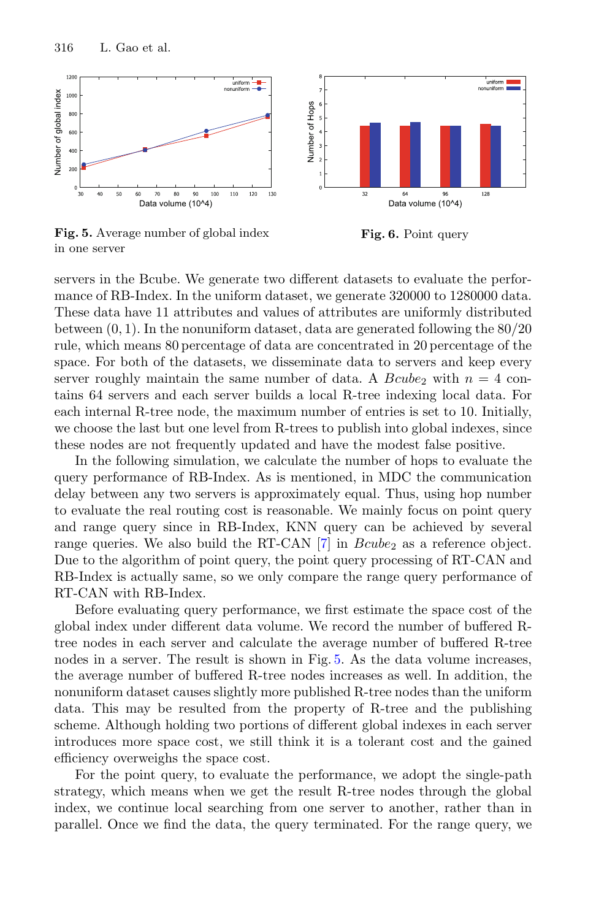

<span id="page-12-0"></span>**Fig. 5.** Average number of global index in one server

<span id="page-12-1"></span>**Fig. 6.** Point query

servers in the Bcube. We generate two different datasets to evaluate the performance of RB-Index. In the uniform dataset, we generate 320000 to 1280000 data. These data have 11 attributes and values of attributes are uniformly distributed between  $(0, 1)$ . In the nonuniform dataset, data are generated following the  $80/20$ rule, which means 80 percentage of data are concentrated in 20 percentage of the space. For both of the datasets, we disseminate data to servers and keep every server roughly maintain the same number of data. A  $Bcube_2$  with  $n = 4$  contains 64 servers and each server builds a local R-tree indexing local data. For each internal R-tree node, the maximum number of entries is set to 10. Initially, we choose the last but one level from R-trees to publish into global indexes, since these nodes are not frequently updated and have the modest false positive.

In the following simulation, we calculate the number of hops to evaluate the query performance of RB-Index. As is mentioned, in MDC the communication delay between any two servers is approximately equal. Thus, using hop number to evaluate the real routing cost is reasonable. We mainly focus on point query and range query since in RB-Index, KNN query can be achieved by several range queries. We also build the RT-CAN  $[7]$  $[7]$  in  $Bcube_2$  as a reference object. Due to the algorithm of point query, the point query processing of RT-CAN and RB-Index is actually same, so we only compare the range query performance of RT-CAN with RB-Index.

Before evaluating query performance, we first estimate the space cost of the global index under different data volume. We record the number of buffered Rtree nodes in each server and calculate the average number of buffered R-tree nodes in a server. The result is shown in Fig. [5.](#page-12-0) As the data volume increases, the average number of buffered R-tree nodes increases as well. In addition, the nonuniform dataset causes slightly more published R-tree nodes than the uniform data. This may be resulted from the property of R-tree and the publishing scheme. Although holding two portions of different global indexes in each server introduces more space cost, we still think it is a tolerant cost and the gained efficiency overweighs the space cost.

For the point query, to evaluate the performance, we adopt the single-path strategy, which means when we get the result R-tree nodes through the global index, we continue local searching from one server to another, rather than in parallel. Once we find the data, the query terminated. For the range query, we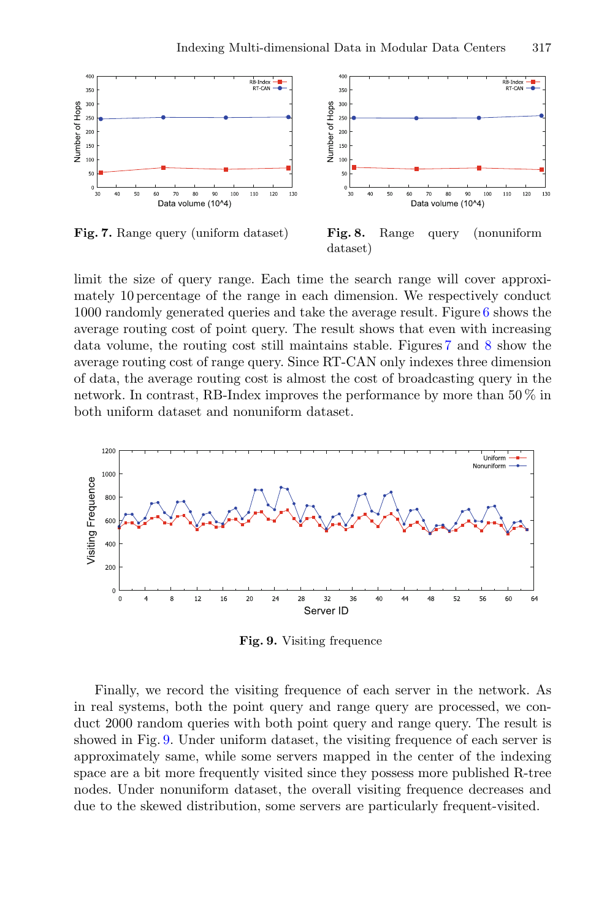

<span id="page-13-1"></span>

<span id="page-13-0"></span>

limit the size of query range. Each time the search range will cover approximately 10 percentage of the range in each dimension. We respectively conduct 1000 randomly generated queries and take the average result. Figure [6](#page-12-1) shows the average routing cost of point query. The result shows that even with increasing data volume, the routing cost still maintains stable. Figures [7](#page-13-0) and [8](#page-13-1) show the average routing cost of range query. Since RT-CAN only indexes three dimension of data, the average routing cost is almost the cost of broadcasting query in the network. In contrast, RB-Index improves the performance by more than 50 % in both uniform dataset and nonuniform dataset.



<span id="page-13-2"></span>**Fig. 9.** Visiting frequence

Finally, we record the visiting frequence of each server in the network. As in real systems, both the point query and range query are processed, we conduct 2000 random queries with both point query and range query. The result is showed in Fig. [9.](#page-13-2) Under uniform dataset, the visiting frequence of each server is approximately same, while some servers mapped in the center of the indexing space are a bit more frequently visited since they possess more published R-tree nodes. Under nonuniform dataset, the overall visiting frequence decreases and due to the skewed distribution, some servers are particularly frequent-visited.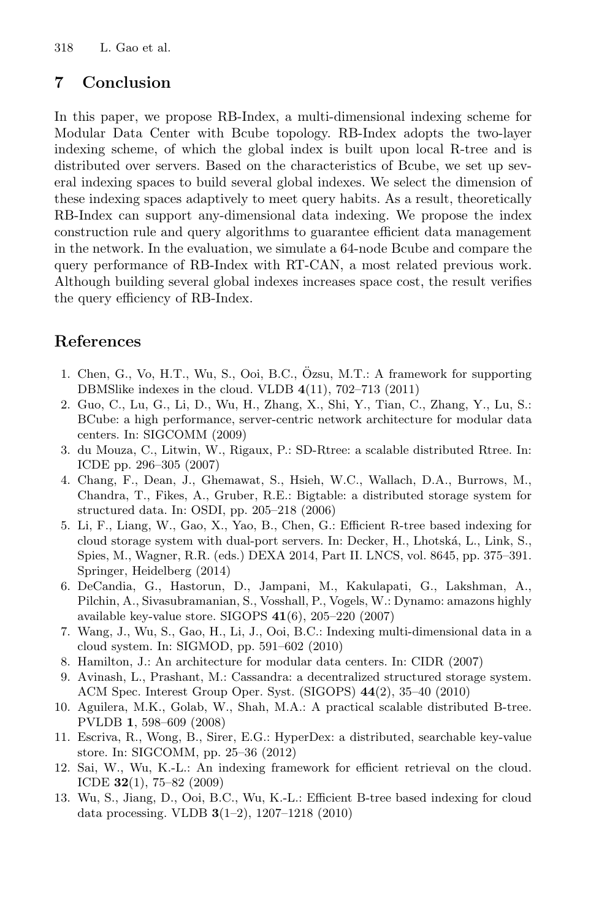## <span id="page-14-10"></span>**7 Conclusion**

In this paper, we propose RB-Index, a multi-dimensional indexing scheme for Modular Data Center with Bcube topology. RB-Index adopts the two-layer indexing scheme, of which the global index is built upon local R-tree and is distributed over servers. Based on the characteristics of Bcube, we set up several indexing spaces to build several global indexes. We select the dimension of these indexing spaces adaptively to meet query habits. As a result, theoretically RB-Index can support any-dimensional data indexing. We propose the index construction rule and query algorithms to guarantee efficient data management in the network. In the evaluation, we simulate a 64-node Bcube and compare the query performance of RB-Index with RT-CAN, a most related previous work. Although building several global indexes increases space cost, the result verifies the query efficiency of RB-Index.

## <span id="page-14-4"></span>**References**

- 1. Chen, G., Vo, H.T., Wu, S., Ooi, B.C., Özsu, M.T.: A framework for supporting DBMSlike indexes in the cloud. VLDB **4**(11), 702–713 (2011)
- <span id="page-14-9"></span>2. Guo, C., Lu, G., Li, D., Wu, H., Zhang, X., Shi, Y., Tian, C., Zhang, Y., Lu, S.: BCube: a high performance, server-centric network architecture for modular data centers. In: SIGCOMM (2009)
- <span id="page-14-12"></span>3. du Mouza, C., Litwin, W., Rigaux, P.: SD-Rtree: a scalable distributed Rtree. In: ICDE pp. 296–305 (2007)
- <span id="page-14-0"></span>4. Chang, F., Dean, J., Ghemawat, S., Hsieh, W.C., Wallach, D.A., Burrows, M., Chandra, T., Fikes, A., Gruber, R.E.: Bigtable: a distributed storage system for structured data. In: OSDI, pp. 205–218 (2006)
- <span id="page-14-5"></span>5. Li, F., Liang, W., Gao, X., Yao, B., Chen, G.: Efficient R-tree based indexing for cloud storage system with dual-port servers. In: Decker, H., Lhotsk´a, L., Link, S., Spies, M., Wagner, R.R. (eds.) DEXA 2014, Part II. LNCS, vol. 8645, pp. 375–391. Springer, Heidelberg (2014)
- <span id="page-14-1"></span>6. DeCandia, G., Hastorun, D., Jampani, M., Kakulapati, G., Lakshman, A., Pilchin, A., Sivasubramanian, S., Vosshall, P., Vogels, W.: Dynamo: amazons highly available key-value store. SIGOPS **41**(6), 205–220 (2007)
- <span id="page-14-6"></span>7. Wang, J., Wu, S., Gao, H., Li, J., Ooi, B.C.: Indexing multi-dimensional data in a cloud system. In: SIGMOD, pp. 591–602 (2010)
- 8. Hamilton, J.: An architecture for modular data centers. In: CIDR (2007)
- <span id="page-14-8"></span><span id="page-14-2"></span>9. Avinash, L., Prashant, M.: Cassandra: a decentralized structured storage system. ACM Spec. Interest Group Oper. Syst. (SIGOPS) **44**(2), 35–40 (2010)
- <span id="page-14-11"></span>10. Aguilera, M.K., Golab, W., Shah, M.A.: A practical scalable distributed B-tree. PVLDB **1**, 598–609 (2008)
- <span id="page-14-3"></span>11. Escriva, R., Wong, B., Sirer, E.G.: HyperDex: a distributed, searchable key-value store. In: SIGCOMM, pp. 25–36 (2012)
- <span id="page-14-7"></span>12. Sai, W., Wu, K.-L.: An indexing framework for efficient retrieval on the cloud. ICDE **32**(1), 75–82 (2009)
- <span id="page-14-13"></span>13. Wu, S., Jiang, D., Ooi, B.C., Wu, K.-L.: Efficient B-tree based indexing for cloud data processing. VLDB **3**(1–2), 1207–1218 (2010)